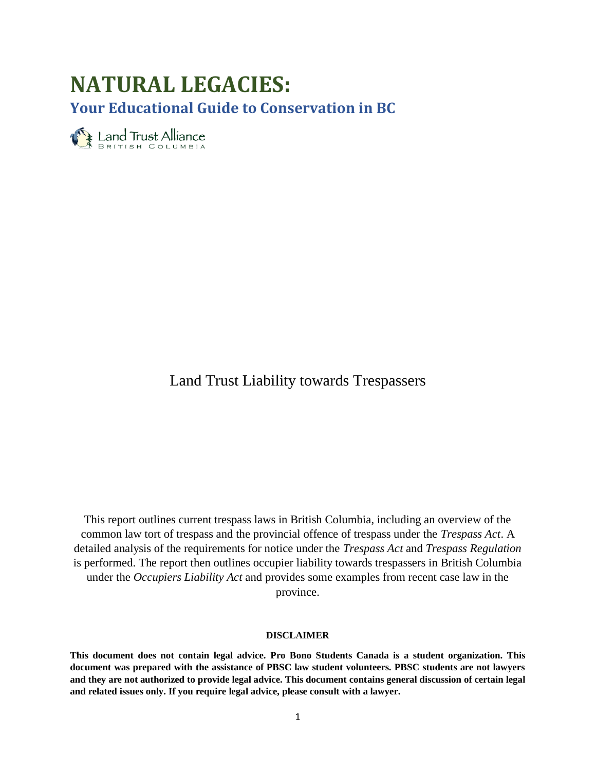# **NATURAL LEGACIES: Your Educational Guide to Conservation in BC**

Eand Trust Alliance

Land Trust Liability towards Trespassers

This report outlines current trespass laws in British Columbia, including an overview of the common law tort of trespass and the provincial offence of trespass under the *Trespass Act*. A detailed analysis of the requirements for notice under the *Trespass Act* and *Trespass Regulation* is performed. The report then outlines occupier liability towards trespassers in British Columbia under the *Occupiers Liability Act* and provides some examples from recent case law in the province.

#### **DISCLAIMER**

**This document does not contain legal advice. Pro Bono Students Canada is a student organization. This document was prepared with the assistance of PBSC law student volunteers. PBSC students are not lawyers and they are not authorized to provide legal advice. This document contains general discussion of certain legal and related issues only. If you require legal advice, please consult with a lawyer.**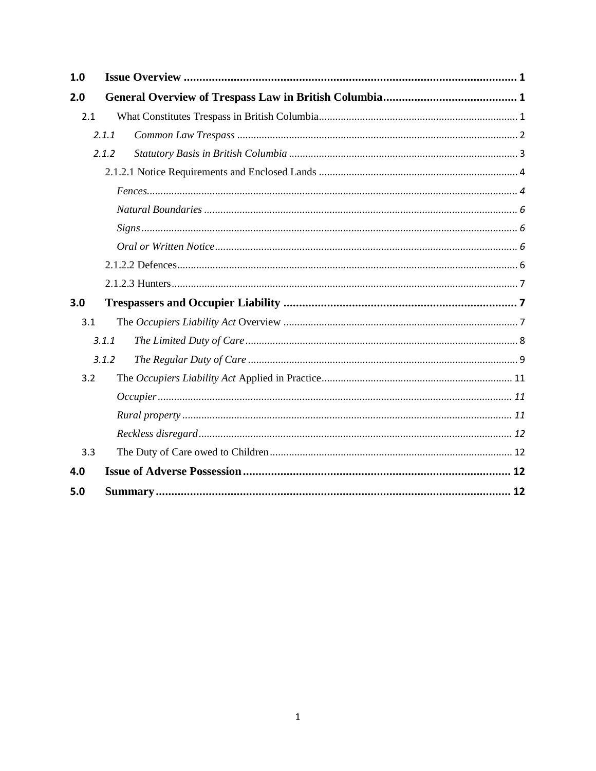| 1.0 |       |  |  |  |
|-----|-------|--|--|--|
| 2.0 |       |  |  |  |
| 2.1 |       |  |  |  |
|     | 2.1.1 |  |  |  |
|     | 2.1.2 |  |  |  |
|     |       |  |  |  |
|     |       |  |  |  |
|     |       |  |  |  |
|     |       |  |  |  |
|     |       |  |  |  |
|     |       |  |  |  |
|     |       |  |  |  |
| 3.0 |       |  |  |  |
| 3.1 |       |  |  |  |
|     | 3.1.1 |  |  |  |
|     | 3.1.2 |  |  |  |
| 3.2 |       |  |  |  |
|     |       |  |  |  |
|     |       |  |  |  |
|     |       |  |  |  |
| 3.3 |       |  |  |  |
| 4.0 |       |  |  |  |
| 5.0 |       |  |  |  |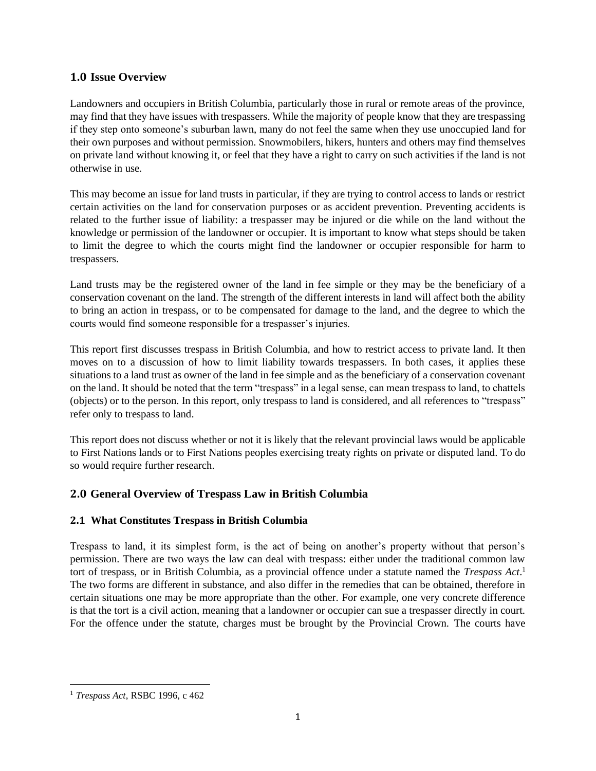## <span id="page-2-0"></span>**1.0 Issue Overview**

Landowners and occupiers in British Columbia, particularly those in rural or remote areas of the province, may find that they have issues with trespassers. While the majority of people know that they are trespassing if they step onto someone's suburban lawn, many do not feel the same when they use unoccupied land for their own purposes and without permission. Snowmobilers, hikers, hunters and others may find themselves on private land without knowing it, or feel that they have a right to carry on such activities if the land is not otherwise in use.

This may become an issue for land trusts in particular, if they are trying to control access to lands or restrict certain activities on the land for conservation purposes or as accident prevention. Preventing accidents is related to the further issue of liability: a trespasser may be injured or die while on the land without the knowledge or permission of the landowner or occupier. It is important to know what steps should be taken to limit the degree to which the courts might find the landowner or occupier responsible for harm to trespassers.

Land trusts may be the registered owner of the land in fee simple or they may be the beneficiary of a conservation covenant on the land. The strength of the different interests in land will affect both the ability to bring an action in trespass, or to be compensated for damage to the land, and the degree to which the courts would find someone responsible for a trespasser's injuries.

This report first discusses trespass in British Columbia, and how to restrict access to private land. It then moves on to a discussion of how to limit liability towards trespassers. In both cases, it applies these situations to a land trust as owner of the land in fee simple and as the beneficiary of a conservation covenant on the land. It should be noted that the term "trespass" in a legal sense, can mean trespass to land, to chattels (objects) or to the person. In this report, only trespass to land is considered, and all references to "trespass" refer only to trespass to land.

This report does not discuss whether or not it is likely that the relevant provincial laws would be applicable to First Nations lands or to First Nations peoples exercising treaty rights on private or disputed land. To do so would require further research.

# <span id="page-2-1"></span>**2.0 General Overview of Trespass Law in British Columbia**

## <span id="page-2-2"></span>**2.1 What Constitutes Trespass in British Columbia**

Trespass to land, it its simplest form, is the act of being on another's property without that person's permission. There are two ways the law can deal with trespass: either under the traditional common law tort of trespass, or in British Columbia, as a provincial offence under a statute named the *Trespass Act*. 1 The two forms are different in substance, and also differ in the remedies that can be obtained, therefore in certain situations one may be more appropriate than the other. For example, one very concrete difference is that the tort is a civil action, meaning that a landowner or occupier can sue a trespasser directly in court. For the offence under the statute, charges must be brought by the Provincial Crown. The courts have

 $\overline{a}$ <sup>1</sup> *Trespass Act*, RSBC 1996, c 462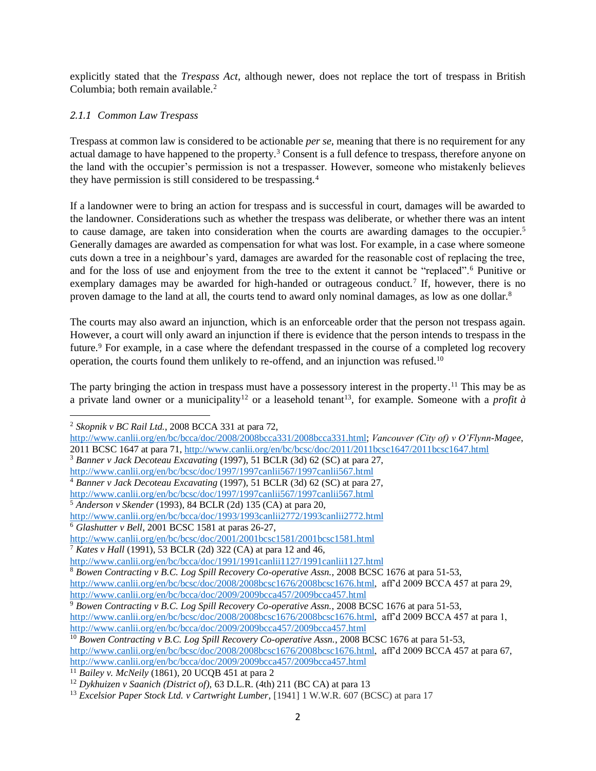explicitly stated that the *Trespass Act*, although newer, does not replace the tort of trespass in British Columbia; both remain available.<sup>2</sup>

## <span id="page-3-0"></span>*2.1.1 Common Law Trespass*

Trespass at common law is considered to be actionable *per se*, meaning that there is no requirement for any actual damage to have happened to the property.<sup>3</sup> Consent is a full defence to trespass, therefore anyone on the land with the occupier's permission is not a trespasser. However, someone who mistakenly believes they have permission is still considered to be trespassing.<sup>4</sup>

If a landowner were to bring an action for trespass and is successful in court, damages will be awarded to the landowner. Considerations such as whether the trespass was deliberate, or whether there was an intent to cause damage, are taken into consideration when the courts are awarding damages to the occupier.<sup>5</sup> Generally damages are awarded as compensation for what was lost. For example, in a case where someone cuts down a tree in a neighbour's yard, damages are awarded for the reasonable cost of replacing the tree, and for the loss of use and enjoyment from the tree to the extent it cannot be "replaced".<sup>6</sup> Punitive or exemplary damages may be awarded for high-handed or outrageous conduct.<sup>7</sup> If, however, there is no proven damage to the land at all, the courts tend to award only nominal damages, as low as one dollar.<sup>8</sup>

The courts may also award an injunction, which is an enforceable order that the person not trespass again. However, a court will only award an injunction if there is evidence that the person intends to trespass in the future.<sup>9</sup> For example, in a case where the defendant trespassed in the course of a completed log recovery operation, the courts found them unlikely to re-offend, and an injunction was refused.<sup>10</sup>

The party bringing the action in trespass must have a possessory interest in the property.<sup>11</sup> This may be as a private land owner or a municipality<sup>12</sup> or a leasehold tenant<sup>13</sup>, for example. Someone with a *profit*  $\dot{a}$ 

<sup>2</sup> *Skopnik v BC Rail Ltd.*, 2008 BCCA 331 at para 72,

[http://www.canlii.org/en/bc/bcca/doc/2008/2008bcca331/2008bcca331.html;](http://www.canlii.org/en/bc/bcca/doc/2008/2008bcca331/2008bcca331.html) *Vancouver (City of) v O'Flynn-Magee*, 2011 BCSC 1647 at para 71[, http://www.canlii.org/en/bc/bcsc/doc/2011/2011bcsc1647/2011bcsc1647.html](http://www.canlii.org/en/bc/bcsc/doc/2011/2011bcsc1647/2011bcsc1647.html)

<sup>3</sup> *Banner v Jack Decoteau Excavating* (1997), 51 BCLR (3d) 62 (SC) at para 27,

<http://www.canlii.org/en/bc/bcsc/doc/1997/1997canlii567/1997canlii567.html>

<sup>4</sup> *Banner v Jack Decoteau Excavating* (1997), 51 BCLR (3d) 62 (SC) at para 27,

<http://www.canlii.org/en/bc/bcsc/doc/1997/1997canlii567/1997canlii567.html>

<sup>5</sup> *Anderson v Skender* (1993), 84 BCLR (2d) 135 (CA) at para 20,

<http://www.canlii.org/en/bc/bcca/doc/1993/1993canlii2772/1993canlii2772.html>

<sup>6</sup> *Glashutter v Bell*, 2001 BCSC 1581 at paras 26-27,

<http://www.canlii.org/en/bc/bcsc/doc/2001/2001bcsc1581/2001bcsc1581.html>

<sup>7</sup> *Kates v Hall* (1991), 53 BCLR (2d) 322 (CA) at para 12 and 46,

<http://www.canlii.org/en/bc/bcca/doc/1991/1991canlii1127/1991canlii1127.html>

<sup>8</sup> *Bowen Contracting v B.C. Log Spill Recovery Co-operative Assn.*, 2008 BCSC 1676 at para 51-53,

[http://www.canlii.org/en/bc/bcsc/doc/2008/2008bcsc1676/2008bcsc1676.html,](http://www.canlii.org/en/bc/bcsc/doc/2008/2008bcsc1676/2008bcsc1676.html) aff'd 2009 BCCA 457 at para 29, <http://www.canlii.org/en/bc/bcca/doc/2009/2009bcca457/2009bcca457.html>

<sup>9</sup> *Bowen Contracting v B.C. Log Spill Recovery Co-operative Assn.*, 2008 BCSC 1676 at para 51-53,

[http://www.canlii.org/en/bc/bcsc/doc/2008/2008bcsc1676/2008bcsc1676.html,](http://www.canlii.org/en/bc/bcsc/doc/2008/2008bcsc1676/2008bcsc1676.html) aff'd 2009 BCCA 457 at para 1, <http://www.canlii.org/en/bc/bcca/doc/2009/2009bcca457/2009bcca457.html>

<sup>10</sup> *Bowen Contracting v B.C. Log Spill Recovery Co-operative Assn.*, 2008 BCSC 1676 at para 51-53, [http://www.canlii.org/en/bc/bcsc/doc/2008/2008bcsc1676/2008bcsc1676.html,](http://www.canlii.org/en/bc/bcsc/doc/2008/2008bcsc1676/2008bcsc1676.html) aff'd 2009 BCCA 457 at para 67, <http://www.canlii.org/en/bc/bcca/doc/2009/2009bcca457/2009bcca457.html>

<sup>11</sup> *Bailey v. McNeily* (1861), 20 UCQB 451 at para 2

<sup>12</sup> *Dykhuizen v Saanich (District of)*, 63 D.L.R. (4th) 211 (BC CA) at para 13

<sup>13</sup> *Excelsior Paper Stock Ltd. v Cartwright Lumber*, [1941] 1 W.W.R. 607 (BCSC) at para 17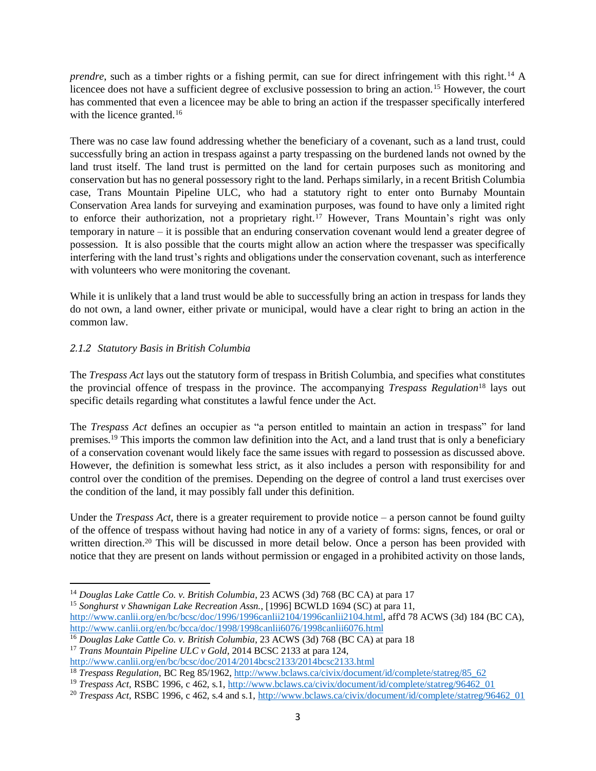*prendre*, such as a timber rights or a fishing permit, can sue for direct infringement with this right.<sup>14</sup> A licencee does not have a sufficient degree of exclusive possession to bring an action.<sup>15</sup> However, the court has commented that even a licencee may be able to bring an action if the trespasser specifically interfered with the licence granted.<sup>16</sup>

There was no case law found addressing whether the beneficiary of a covenant, such as a land trust, could successfully bring an action in trespass against a party trespassing on the burdened lands not owned by the land trust itself. The land trust is permitted on the land for certain purposes such as monitoring and conservation but has no general possessory right to the land. Perhaps similarly, in a recent British Columbia case, Trans Mountain Pipeline ULC, who had a statutory right to enter onto Burnaby Mountain Conservation Area lands for surveying and examination purposes, was found to have only a limited right to enforce their authorization, not a proprietary right.<sup>17</sup> However, Trans Mountain's right was only temporary in nature – it is possible that an enduring conservation covenant would lend a greater degree of possession. It is also possible that the courts might allow an action where the trespasser was specifically interfering with the land trust's rights and obligations under the conservation covenant, such as interference with volunteers who were monitoring the covenant.

While it is unlikely that a land trust would be able to successfully bring an action in trespass for lands they do not own, a land owner, either private or municipal, would have a clear right to bring an action in the common law.

## <span id="page-4-0"></span>*2.1.2 Statutory Basis in British Columbia*

 $\overline{a}$ 

The *Trespass Act* lays out the statutory form of trespass in British Columbia, and specifies what constitutes the provincial offence of trespass in the province. The accompanying *Trespass Regulation*<sup>18</sup> lays out specific details regarding what constitutes a lawful fence under the Act.

The *Trespass Act* defines an occupier as "a person entitled to maintain an action in trespass" for land premises.<sup>19</sup> This imports the common law definition into the Act, and a land trust that is only a beneficiary of a conservation covenant would likely face the same issues with regard to possession as discussed above. However, the definition is somewhat less strict, as it also includes a person with responsibility for and control over the condition of the premises. Depending on the degree of control a land trust exercises over the condition of the land, it may possibly fall under this definition.

Under the *Trespass Act*, there is a greater requirement to provide notice – a person cannot be found guilty of the offence of trespass without having had notice in any of a variety of forms: signs, fences, or oral or written direction.<sup>20</sup> This will be discussed in more detail below. Once a person has been provided with notice that they are present on lands without permission or engaged in a prohibited activity on those lands,

<sup>15</sup> *Songhurst v Shawnigan Lake Recreation Assn.*, [1996] BCWLD 1694 (SC) at para 11, [http://www.canlii.org/en/bc/bcsc/doc/1996/1996canlii2104/1996canlii2104.html,](http://www.canlii.org/en/bc/bcsc/doc/1996/1996canlii2104/1996canlii2104.html) aff'd 78 ACWS (3d) 184 (BC CA), <http://www.canlii.org/en/bc/bcca/doc/1998/1998canlii6076/1998canlii6076.html>

<sup>14</sup> *Douglas Lake Cattle Co. v. British Columbia*, 23 ACWS (3d) 768 (BC CA) at para 17

<sup>16</sup> *Douglas Lake Cattle Co. v. British Columbia*, 23 ACWS (3d) 768 (BC CA) at para 18

<sup>17</sup> *Trans Mountain Pipeline ULC v Gold*, 2014 BCSC 2133 at para 124, <http://www.canlii.org/en/bc/bcsc/doc/2014/2014bcsc2133/2014bcsc2133.html>

<sup>18</sup> *Trespass Regulation*, BC Reg 85/1962[, http://www.bclaws.ca/civix/document/id/complete/statreg/85\\_62](http://www.bclaws.ca/civix/document/id/complete/statreg/85_62)

<sup>&</sup>lt;sup>19</sup> *Trespass Act*, RSBC 1996, c 462, s.1, [http://www.bclaws.ca/civix/document/id/complete/statreg/96462\\_01](http://www.bclaws.ca/civix/document/id/complete/statreg/96462_01)

<sup>&</sup>lt;sup>20</sup> *Trespass Act*, RSBC 1996, c 462, s.4 and s.1[, http://www.bclaws.ca/civix/document/id/complete/statreg/96462\\_01](http://www.bclaws.ca/civix/document/id/complete/statreg/96462_01)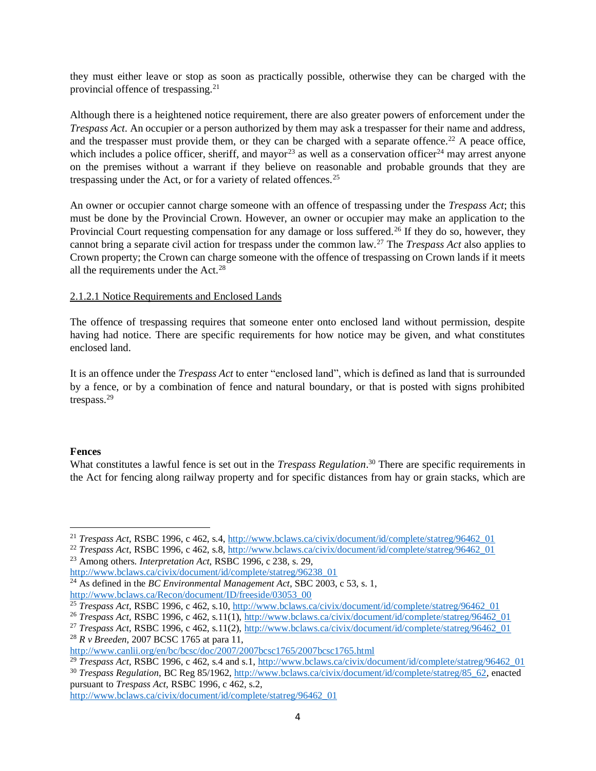they must either leave or stop as soon as practically possible, otherwise they can be charged with the provincial offence of trespassing.<sup>21</sup>

Although there is a heightened notice requirement, there are also greater powers of enforcement under the *Trespass Act*. An occupier or a person authorized by them may ask a trespasser for their name and address, and the trespasser must provide them, or they can be charged with a separate offence.<sup>22</sup> A peace office, which includes a police officer, sheriff, and mayor<sup>23</sup> as well as a conservation officer<sup>24</sup> may arrest anyone on the premises without a warrant if they believe on reasonable and probable grounds that they are trespassing under the Act, or for a variety of related offences.<sup>25</sup>

An owner or occupier cannot charge someone with an offence of trespassing under the *Trespass Act*; this must be done by the Provincial Crown. However, an owner or occupier may make an application to the Provincial Court requesting compensation for any damage or loss suffered.<sup>26</sup> If they do so, however, they cannot bring a separate civil action for trespass under the common law.<sup>27</sup> The *Trespass Act* also applies to Crown property; the Crown can charge someone with the offence of trespassing on Crown lands if it meets all the requirements under the Act.<sup>28</sup>

#### <span id="page-5-0"></span>2.1.2.1 Notice Requirements and Enclosed Lands

The offence of trespassing requires that someone enter onto enclosed land without permission, despite having had notice. There are specific requirements for how notice may be given, and what constitutes enclosed land.

It is an offence under the *Trespass Act* to enter "enclosed land", which is defined as land that is surrounded by a fence, or by a combination of fence and natural boundary, or that is posted with signs prohibited trespass. 29

#### <span id="page-5-1"></span>**Fences**

What constitutes a lawful fence is set out in the *Trespass Regulation*. <sup>30</sup> There are specific requirements in the Act for fencing along railway property and for specific distances from hay or grain stacks, which are

<sup>23</sup> Among others. *Interpretation Act*, RSBC 1996, c 238, s. 29, [http://www.bclaws.ca/civix/document/id/complete/statreg/96238\\_01](http://www.bclaws.ca/civix/document/id/complete/statreg/96238_01)

 $\overline{a}$ <sup>21</sup> *Trespass Act*, RSBC 1996, c 462, s.4, [http://www.bclaws.ca/civix/document/id/complete/statreg/96462\\_01](http://www.bclaws.ca/civix/document/id/complete/statreg/96462_01)

<sup>22</sup> *Trespass Act*, RSBC 1996, c 462, s.8, [http://www.bclaws.ca/civix/document/id/complete/statreg/96462\\_01](http://www.bclaws.ca/civix/document/id/complete/statreg/96462_01)

<sup>&</sup>lt;sup>24</sup> As defined in the *BC Environmental Management Act*, SBC 2003, c 53, s. 1, [http://www.bclaws.ca/Recon/document/ID/freeside/03053\\_00](http://www.bclaws.ca/Recon/document/ID/freeside/03053_00)

<sup>&</sup>lt;sup>25</sup> *Trespass Act*, RSBC 1996, c 462, s.10, [http://www.bclaws.ca/civix/document/id/complete/statreg/96462\\_01](http://www.bclaws.ca/civix/document/id/complete/statreg/96462_01)

<sup>&</sup>lt;sup>26</sup> *Trespass Act*, RSBC 1996, c 462, s.11(1)[, http://www.bclaws.ca/civix/document/id/complete/statreg/96462\\_01](http://www.bclaws.ca/civix/document/id/complete/statreg/96462_01)

<sup>&</sup>lt;sup>27</sup> *Trespass Act*, RSBC 1996, c 462, s.11(2), http://www.bclaws.ca/civix/document/id/complete/statreg/96462 01

<sup>28</sup> *R v Breeden*, 2007 BCSC 1765 at para 11,

<http://www.canlii.org/en/bc/bcsc/doc/2007/2007bcsc1765/2007bcsc1765.html>

<sup>&</sup>lt;sup>29</sup> *Trespass Act*, RSBC 1996, c 462, s.4 and s.1, http://www.bclaws.ca/civix/document/id/complete/statreg/96462 01

<sup>30</sup> *Trespass Regulation*, BC Reg 85/1962[, http://www.bclaws.ca/civix/document/id/complete/statreg/85\\_62,](http://www.bclaws.ca/civix/document/id/complete/statreg/85_62) enacted pursuant to *Trespass Act*, RSBC 1996, c 462, s.2,

[http://www.bclaws.ca/civix/document/id/complete/statreg/96462\\_01](http://www.bclaws.ca/civix/document/id/complete/statreg/96462_01)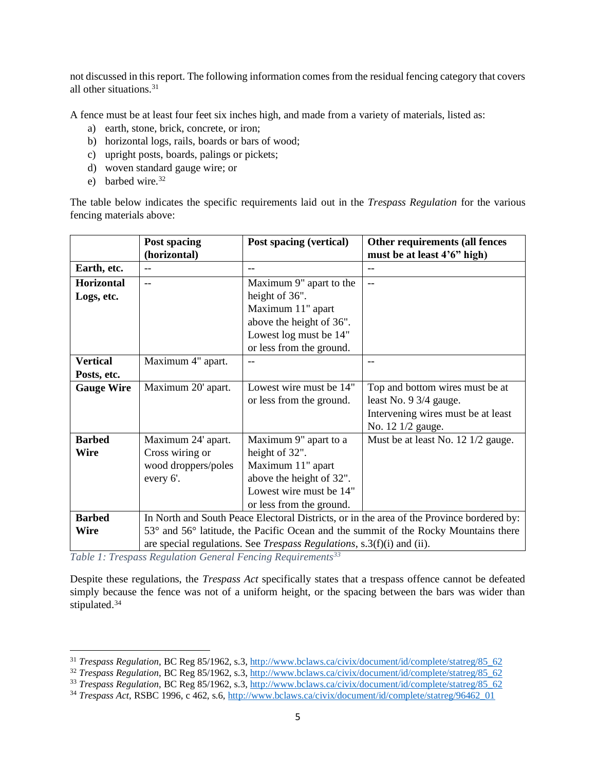not discussed in this report. The following information comes from the residual fencing category that covers all other situations.<sup>31</sup>

A fence must be at least four feet six inches high, and made from a variety of materials, listed as:

- a) earth, stone, brick, concrete, or iron;
- b) horizontal logs, rails, boards or bars of wood;
- c) upright posts, boards, palings or pickets;
- d) woven standard gauge wire; or
- e) barbed wire. $32$

 $\overline{a}$ 

The table below indicates the specific requirements laid out in the *Trespass Regulation* for the various fencing materials above:

|                   | Post spacing                                                                              | Post spacing (vertical)  | Other requirements (all fences     |  |
|-------------------|-------------------------------------------------------------------------------------------|--------------------------|------------------------------------|--|
|                   | (horizontal)                                                                              |                          | must be at least 4'6" high)        |  |
| Earth, etc.       |                                                                                           |                          | $-$                                |  |
| Horizontal        | $-$                                                                                       | Maximum 9" apart to the  | $-$                                |  |
| Logs, etc.        |                                                                                           | height of 36".           |                                    |  |
|                   |                                                                                           | Maximum 11" apart        |                                    |  |
|                   |                                                                                           | above the height of 36". |                                    |  |
|                   |                                                                                           | Lowest log must be 14"   |                                    |  |
|                   |                                                                                           | or less from the ground. |                                    |  |
| <b>Vertical</b>   | Maximum 4" apart.                                                                         |                          |                                    |  |
| Posts, etc.       |                                                                                           |                          |                                    |  |
| <b>Gauge Wire</b> | Maximum 20' apart.                                                                        | Lowest wire must be 14"  | Top and bottom wires must be at    |  |
|                   |                                                                                           | or less from the ground. | least No. 9 3/4 gauge.             |  |
|                   |                                                                                           |                          | Intervening wires must be at least |  |
|                   |                                                                                           |                          | No. 12 1/2 gauge.                  |  |
| <b>Barbed</b>     | Maximum 24' apart.                                                                        | Maximum 9" apart to a    | Must be at least No. 12 1/2 gauge. |  |
| Wire              | Cross wiring or                                                                           | height of 32".           |                                    |  |
|                   | wood droppers/poles                                                                       | Maximum 11" apart        |                                    |  |
|                   | every 6'.                                                                                 | above the height of 32". |                                    |  |
|                   |                                                                                           | Lowest wire must be 14"  |                                    |  |
|                   |                                                                                           | or less from the ground. |                                    |  |
| <b>Barbed</b>     | In North and South Peace Electoral Districts, or in the area of the Province bordered by: |                          |                                    |  |
| Wire              | 53° and 56° latitude, the Pacific Ocean and the summit of the Rocky Mountains there       |                          |                                    |  |
|                   | are special regulations. See <i>Trespass Regulations</i> , s.3(f)(i) and (ii).            |                          |                                    |  |

*Table 1: Trespass Regulation General Fencing Requirements<sup>33</sup>*

Despite these regulations, the *Trespass Act* specifically states that a trespass offence cannot be defeated simply because the fence was not of a uniform height, or the spacing between the bars was wider than stipulated.<sup>34</sup>

<sup>&</sup>lt;sup>31</sup> *Trespass Regulation*, BC Reg 85/1962, s.3, http://www.bclaws.ca/civix/document/id/complete/statreg/85 62

<sup>&</sup>lt;sup>32</sup> *Trespass Regulation*, BC Reg 85/1962, s.3[, http://www.bclaws.ca/civix/document/id/complete/statreg/85\\_62](http://www.bclaws.ca/civix/document/id/complete/statreg/85_62)

<sup>&</sup>lt;sup>33</sup> *Trespass Regulation*, BC Reg 85/1962, s.3[, http://www.bclaws.ca/civix/document/id/complete/statreg/85\\_62](http://www.bclaws.ca/civix/document/id/complete/statreg/85_62)

<sup>&</sup>lt;sup>34</sup> *Trespass Act*, RSBC 1996, c 462, s.6, [http://www.bclaws.ca/civix/document/id/complete/statreg/96462\\_01](http://www.bclaws.ca/civix/document/id/complete/statreg/96462_01)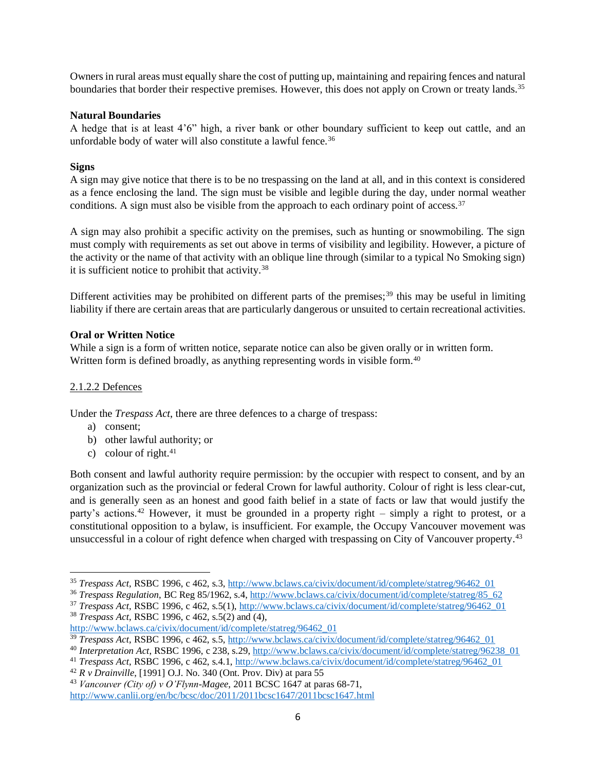Owners in rural areas must equally share the cost of putting up, maintaining and repairing fences and natural boundaries that border their respective premises. However, this does not apply on Crown or treaty lands.<sup>35</sup>

#### <span id="page-7-0"></span>**Natural Boundaries**

A hedge that is at least 4'6" high, a river bank or other boundary sufficient to keep out cattle, and an unfordable body of water will also constitute a lawful fence.<sup>36</sup>

## <span id="page-7-1"></span>**Signs**

A sign may give notice that there is to be no trespassing on the land at all, and in this context is considered as a fence enclosing the land. The sign must be visible and legible during the day, under normal weather conditions. A sign must also be visible from the approach to each ordinary point of access.<sup>37</sup>

A sign may also prohibit a specific activity on the premises, such as hunting or snowmobiling. The sign must comply with requirements as set out above in terms of visibility and legibility. However, a picture of the activity or the name of that activity with an oblique line through (similar to a typical No Smoking sign) it is sufficient notice to prohibit that activity.<sup>38</sup>

Different activities may be prohibited on different parts of the premises;<sup>39</sup> this may be useful in limiting liability if there are certain areas that are particularly dangerous or unsuited to certain recreational activities.

## <span id="page-7-2"></span>**Oral or Written Notice**

While a sign is a form of written notice, separate notice can also be given orally or in written form. Written form is defined broadly, as anything representing words in visible form.<sup>40</sup>

#### <span id="page-7-3"></span>2.1.2.2 Defences

Under the *Trespass Act*, there are three defences to a charge of trespass:

a) consent;

 $\overline{a}$ 

- b) other lawful authority; or
- c) colour of right. $41$

Both consent and lawful authority require permission: by the occupier with respect to consent, and by an organization such as the provincial or federal Crown for lawful authority. Colour of right is less clear-cut, and is generally seen as an honest and good faith belief in a state of facts or law that would justify the party's actions.<sup>42</sup> However, it must be grounded in a property right – simply a right to protest, or a constitutional opposition to a bylaw, is insufficient. For example, the Occupy Vancouver movement was unsuccessful in a colour of right defence when charged with trespassing on City of Vancouver property. 43

<sup>35</sup> *Trespass Act*, RSBC 1996, c 462, s.3, [http://www.bclaws.ca/civix/document/id/complete/statreg/96462\\_01](http://www.bclaws.ca/civix/document/id/complete/statreg/96462_01)

<sup>&</sup>lt;sup>36</sup> Trespass Regulation, BC Reg 85/1962, s.4[, http://www.bclaws.ca/civix/document/id/complete/statreg/85\\_62](http://www.bclaws.ca/civix/document/id/complete/statreg/85_62)

<sup>37</sup> *Trespass Act*, RSBC 1996, c 462, s.5(1)[, http://www.bclaws.ca/civix/document/id/complete/statreg/96462\\_01](http://www.bclaws.ca/civix/document/id/complete/statreg/96462_01) <sup>38</sup> *Trespass Act*, RSBC 1996, c 462, s.5(2) and (4),

[http://www.bclaws.ca/civix/document/id/complete/statreg/96462\\_01](http://www.bclaws.ca/civix/document/id/complete/statreg/96462_01)

<sup>&</sup>lt;sup>39</sup> *Trespass Act*, RSBC 1996, c 462, s.5, [http://www.bclaws.ca/civix/document/id/complete/statreg/96462\\_01](http://www.bclaws.ca/civix/document/id/complete/statreg/96462_01)

<sup>40</sup> *Interpretation Act*, RSBC 1996, c 238, s.29[, http://www.bclaws.ca/civix/document/id/complete/statreg/96238\\_01](http://www.bclaws.ca/civix/document/id/complete/statreg/96238_01)

<sup>41</sup> *Trespass Act*, RSBC 1996, c 462, s.4.1[, http://www.bclaws.ca/civix/document/id/complete/statreg/96462\\_01](http://www.bclaws.ca/civix/document/id/complete/statreg/96462_01)

<sup>42</sup> *R v Drainville*, [1991] O.J. No. 340 (Ont. Prov. Div) at para 55

<sup>43</sup> *Vancouver (City of) v O'Flynn-Magee*, 2011 BCSC 1647 at paras 68-71, <http://www.canlii.org/en/bc/bcsc/doc/2011/2011bcsc1647/2011bcsc1647.html>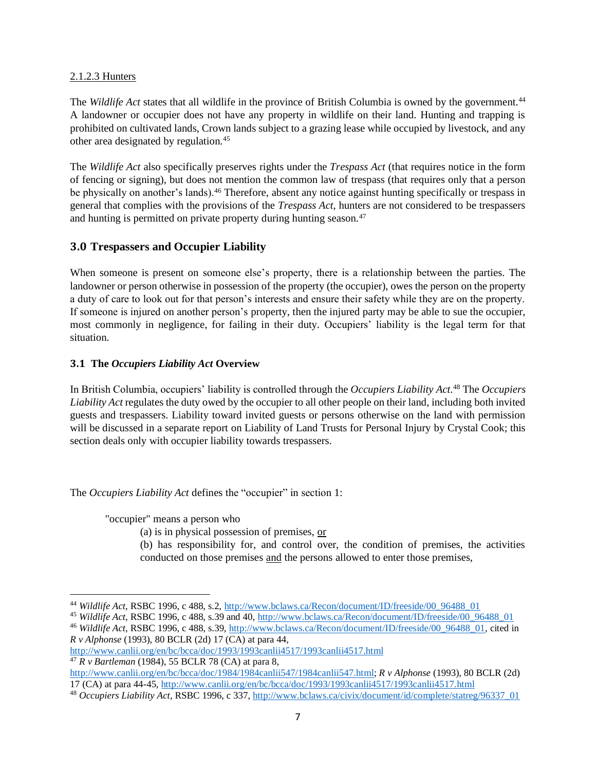#### <span id="page-8-0"></span>2.1.2.3 Hunters

The *Wildlife Act* states that all wildlife in the province of British Columbia is owned by the government.<sup>44</sup> A landowner or occupier does not have any property in wildlife on their land. Hunting and trapping is prohibited on cultivated lands, Crown lands subject to a grazing lease while occupied by livestock, and any other area designated by regulation.<sup>45</sup>

The *Wildlife Act* also specifically preserves rights under the *Trespass Act* (that requires notice in the form of fencing or signing), but does not mention the common law of trespass (that requires only that a person be physically on another's lands).<sup>46</sup> Therefore, absent any notice against hunting specifically or trespass in general that complies with the provisions of the *Trespass Act*, hunters are not considered to be trespassers and hunting is permitted on private property during hunting season.<sup>47</sup>

## <span id="page-8-1"></span>**3.0 Trespassers and Occupier Liability**

When someone is present on someone else's property, there is a relationship between the parties. The landowner or person otherwise in possession of the property (the occupier), owes the person on the property a duty of care to look out for that person's interests and ensure their safety while they are on the property. If someone is injured on another person's property, then the injured party may be able to sue the occupier, most commonly in negligence, for failing in their duty. Occupiers' liability is the legal term for that situation.

## <span id="page-8-2"></span>**3.1 The** *Occupiers Liability Act* **Overview**

In British Columbia, occupiers' liability is controlled through the *Occupiers Liability Act*. <sup>48</sup> The *Occupiers Liability Act* regulates the duty owed by the occupier to all other people on their land, including both invited guests and trespassers. Liability toward invited guests or persons otherwise on the land with permission will be discussed in a separate report on Liability of Land Trusts for Personal Injury by Crystal Cook; this section deals only with occupier liability towards trespassers.

The *Occupiers Liability Act* defines the "occupier" in section 1:

"occupier" means a person who

 $\overline{a}$ 

- (a) is in physical possession of premises, or
- (b) has responsibility for, and control over, the condition of premises, the activities conducted on those premises and the persons allowed to enter those premises,

<sup>45</sup> *Wildlife Act*, RSBC 1996, c 488, s.39 and 40[, http://www.bclaws.ca/Recon/document/ID/freeside/00\\_96488\\_01](http://www.bclaws.ca/Recon/document/ID/freeside/00_96488_01)

<sup>44</sup> *Wildlife Act*, RSBC 1996, c 488, s.2, [http://www.bclaws.ca/Recon/document/ID/freeside/00\\_96488\\_01](http://www.bclaws.ca/Recon/document/ID/freeside/00_96488_01)

<sup>&</sup>lt;sup>46</sup> *Wildlife Act*, RSBC 1996, c 488, s.39, [http://www.bclaws.ca/Recon/document/ID/freeside/00\\_96488\\_01,](http://www.bclaws.ca/Recon/document/ID/freeside/00_96488_01) cited in *R v Alphonse* (1993), 80 BCLR (2d) 17 (CA) at para 44,

<http://www.canlii.org/en/bc/bcca/doc/1993/1993canlii4517/1993canlii4517.html> <sup>47</sup> *R v Bartleman* (1984), 55 BCLR 78 (CA) at para 8,

[http://www.canlii.org/en/bc/bcca/doc/1984/1984canlii547/1984canlii547.html;](http://www.canlii.org/en/bc/bcca/doc/1984/1984canlii547/1984canlii547.html) *R v Alphonse* (1993), 80 BCLR (2d) 17 (CA) at para 44-45,<http://www.canlii.org/en/bc/bcca/doc/1993/1993canlii4517/1993canlii4517.html>

<sup>48</sup> *Occupiers Liability Act*, RSBC 1996, c 337[, http://www.bclaws.ca/civix/document/id/complete/statreg/96337\\_01](http://www.bclaws.ca/civix/document/id/complete/statreg/96337_01)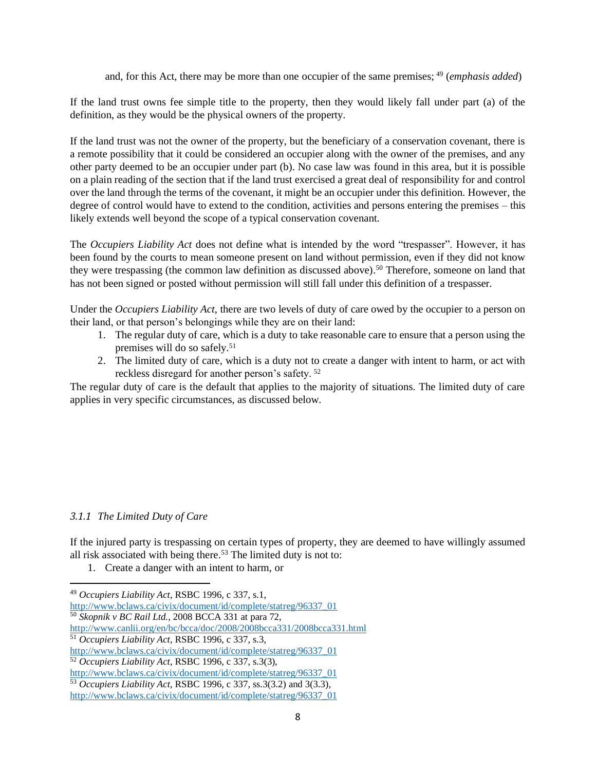and, for this Act, there may be more than one occupier of the same premises; <sup>49</sup> (*emphasis added*)

If the land trust owns fee simple title to the property, then they would likely fall under part (a) of the definition, as they would be the physical owners of the property.

If the land trust was not the owner of the property, but the beneficiary of a conservation covenant, there is a remote possibility that it could be considered an occupier along with the owner of the premises, and any other party deemed to be an occupier under part (b). No case law was found in this area, but it is possible on a plain reading of the section that if the land trust exercised a great deal of responsibility for and control over the land through the terms of the covenant, it might be an occupier under this definition. However, the degree of control would have to extend to the condition, activities and persons entering the premises – this likely extends well beyond the scope of a typical conservation covenant.

The *Occupiers Liability Act* does not define what is intended by the word "trespasser". However, it has been found by the courts to mean someone present on land without permission, even if they did not know they were trespassing (the common law definition as discussed above). <sup>50</sup> Therefore, someone on land that has not been signed or posted without permission will still fall under this definition of a trespasser.

Under the *Occupiers Liability Act*, there are two levels of duty of care owed by the occupier to a person on their land, or that person's belongings while they are on their land:

- 1. The regular duty of care, which is a duty to take reasonable care to ensure that a person using the premises will do so safely.<sup>51</sup>
- 2. The limited duty of care, which is a duty not to create a danger with intent to harm, or act with reckless disregard for another person's safety. <sup>52</sup>

The regular duty of care is the default that applies to the majority of situations. The limited duty of care applies in very specific circumstances, as discussed below.

#### <span id="page-9-0"></span>*3.1.1 The Limited Duty of Care*

 $\overline{a}$ 

If the injured party is trespassing on certain types of property, they are deemed to have willingly assumed all risk associated with being there.<sup>53</sup> The limited duty is not to:

1. Create a danger with an intent to harm, or

<http://www.canlii.org/en/bc/bcca/doc/2008/2008bcca331/2008bcca331.html> <sup>51</sup> *Occupiers Liability Act*, RSBC 1996, c 337, s.3,

<sup>49</sup> *Occupiers Liability Act*, RSBC 1996, c 337, s.1,

[http://www.bclaws.ca/civix/document/id/complete/statreg/96337\\_01](http://www.bclaws.ca/civix/document/id/complete/statreg/96337_01) <sup>50</sup> *Skopnik v BC Rail Ltd.*, 2008 BCCA 331 at para 72,

[http://www.bclaws.ca/civix/document/id/complete/statreg/96337\\_01](http://www.bclaws.ca/civix/document/id/complete/statreg/96337_01)

<sup>52</sup> *Occupiers Liability Act*, RSBC 1996, c 337, s.3(3),

[http://www.bclaws.ca/civix/document/id/complete/statreg/96337\\_01](http://www.bclaws.ca/civix/document/id/complete/statreg/96337_01)

<sup>53</sup> *Occupiers Liability Act*, RSBC 1996, c 337, ss.3(3.2) and 3(3.3), [http://www.bclaws.ca/civix/document/id/complete/statreg/96337\\_01](http://www.bclaws.ca/civix/document/id/complete/statreg/96337_01)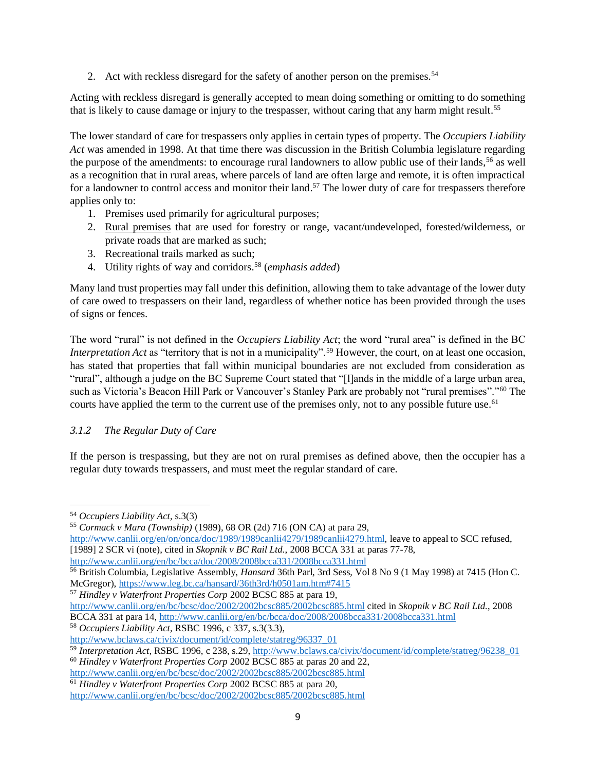2. Act with reckless disregard for the safety of another person on the premises.<sup>54</sup>

Acting with reckless disregard is generally accepted to mean doing something or omitting to do something that is likely to cause damage or injury to the trespasser, without caring that any harm might result.<sup>55</sup>

The lower standard of care for trespassers only applies in certain types of property. The *Occupiers Liability Act* was amended in 1998. At that time there was discussion in the British Columbia legislature regarding the purpose of the amendments: to encourage rural landowners to allow public use of their lands,<sup>56</sup> as well as a recognition that in rural areas, where parcels of land are often large and remote, it is often impractical for a landowner to control access and monitor their land.<sup>57</sup> The lower duty of care for trespassers therefore applies only to:

- 1. Premises used primarily for agricultural purposes;
- 2. Rural premises that are used for forestry or range, vacant/undeveloped, forested/wilderness, or private roads that are marked as such;
- 3. Recreational trails marked as such;
- 4. Utility rights of way and corridors. <sup>58</sup> (*emphasis added*)

Many land trust properties may fall under this definition, allowing them to take advantage of the lower duty of care owed to trespassers on their land, regardless of whether notice has been provided through the uses of signs or fences.

The word "rural" is not defined in the *Occupiers Liability Act*; the word "rural area" is defined in the BC *Interpretation Act* as "territory that is not in a municipality".<sup>59</sup> However, the court, on at least one occasion, has stated that properties that fall within municipal boundaries are not excluded from consideration as "rural", although a judge on the BC Supreme Court stated that "[l]ands in the middle of a large urban area, such as Victoria's Beacon Hill Park or Vancouver's Stanley Park are probably not "rural premises"."<sup>60</sup> The courts have applied the term to the current use of the premises only, not to any possible future use.<sup>61</sup>

## <span id="page-10-0"></span>*3.1.2 The Regular Duty of Care*

If the person is trespassing, but they are not on rural premises as defined above, then the occupier has a regular duty towards trespassers, and must meet the regular standard of care.

 $\overline{a}$ 

<sup>58</sup> *Occupiers Liability Act*, RSBC 1996, c 337, s.3(3.3),

<http://www.canlii.org/en/bc/bcsc/doc/2002/2002bcsc885/2002bcsc885.html>

<sup>54</sup> *Occupiers Liability Act*, s.3(3)

<sup>55</sup> *Cormack v Mara (Township)* (1989), 68 OR (2d) 716 (ON CA) at para 29,

[http://www.canlii.org/en/on/onca/doc/1989/1989canlii4279/1989canlii4279.html,](http://www.canlii.org/en/on/onca/doc/1989/1989canlii4279/1989canlii4279.html) leave to appeal to SCC refused, [1989] 2 SCR vi (note), cited in *Skopnik v BC Rail Ltd.*, 2008 BCCA 331 at paras 77-78,

<http://www.canlii.org/en/bc/bcca/doc/2008/2008bcca331/2008bcca331.html>

<sup>56</sup> British Columbia, Legislative Assembly, *Hansard* 36th Parl, 3rd Sess, Vol 8 No 9 (1 May 1998) at 7415 (Hon C. McGregor),<https://www.leg.bc.ca/hansard/36th3rd/h0501am.htm#7415>

<sup>57</sup> *Hindley v Waterfront Properties Corp* 2002 BCSC 885 at para 19,

<http://www.canlii.org/en/bc/bcsc/doc/2002/2002bcsc885/2002bcsc885.html> cited in *Skopnik v BC Rail Ltd.*, 2008 BCCA 331 at para 14[, http://www.canlii.org/en/bc/bcca/doc/2008/2008bcca331/2008bcca331.html](http://www.canlii.org/en/bc/bcca/doc/2008/2008bcca331/2008bcca331.html)

[http://www.bclaws.ca/civix/document/id/complete/statreg/96337\\_01](http://www.bclaws.ca/civix/document/id/complete/statreg/96337_01)

<sup>59</sup> *Interpretation Act*, RSBC 1996, c 238, s.29[, http://www.bclaws.ca/civix/document/id/complete/statreg/96238\\_01](http://www.bclaws.ca/civix/document/id/complete/statreg/96238_01) <sup>60</sup> *Hindley v Waterfront Properties Corp* 2002 BCSC 885 at paras 20 and 22,

<sup>61</sup> *Hindley v Waterfront Properties Corp* 2002 BCSC 885 at para 20,

<http://www.canlii.org/en/bc/bcsc/doc/2002/2002bcsc885/2002bcsc885.html>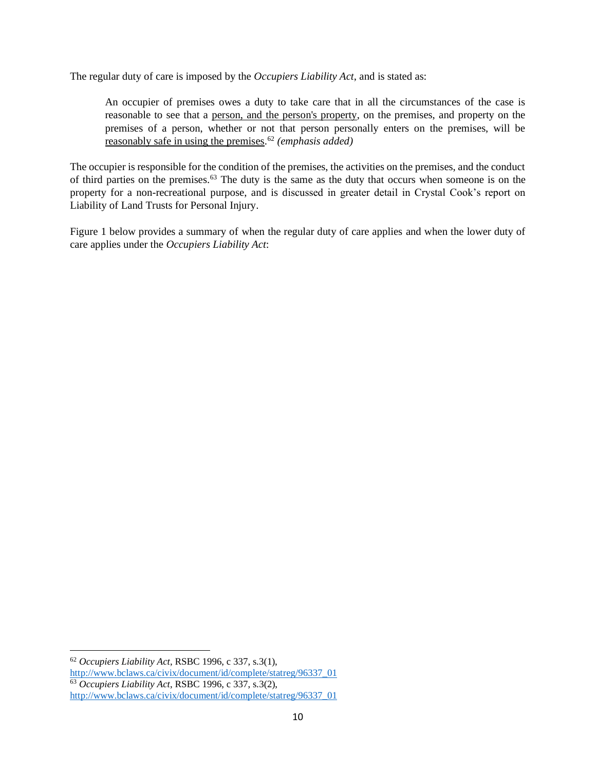The regular duty of care is imposed by the *Occupiers Liability Act*, and is stated as:

An occupier of premises owes a duty to take care that in all the circumstances of the case is reasonable to see that a person, and the person's property, on the premises, and property on the premises of a person, whether or not that person personally enters on the premises, will be reasonably safe in using the premises. <sup>62</sup> *(emphasis added)*

The occupier is responsible for the condition of the premises, the activities on the premises, and the conduct of third parties on the premises.<sup>63</sup> The duty is the same as the duty that occurs when someone is on the property for a non-recreational purpose, and is discussed in greater detail in Crystal Cook's report on Liability of Land Trusts for Personal Injury.

Figure 1 below provides a summary of when the regular duty of care applies and when the lower duty of care applies under the *Occupiers Liability Act*:

<sup>62</sup> *Occupiers Liability Act*, RSBC 1996, c 337, s.3(1),

[http://www.bclaws.ca/civix/document/id/complete/statreg/96337\\_01](http://www.bclaws.ca/civix/document/id/complete/statreg/96337_01)

<sup>63</sup> *Occupiers Liability Act*, RSBC 1996, c 337, s.3(2), [http://www.bclaws.ca/civix/document/id/complete/statreg/96337\\_01](http://www.bclaws.ca/civix/document/id/complete/statreg/96337_01)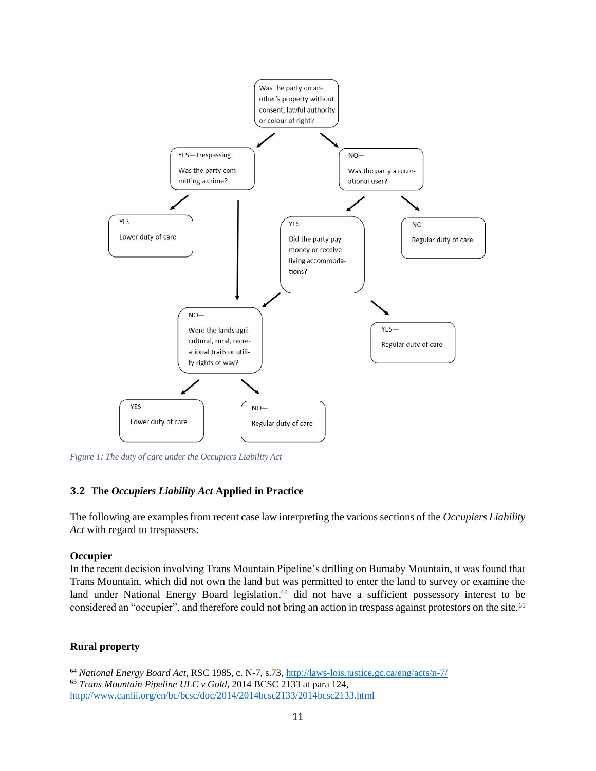

*Figure 1: The duty of care under the Occupiers Liability Act*

#### <span id="page-12-0"></span>**3.2 The** *Occupiers Liability Act* **Applied in Practice**

The following are examples from recent case law interpreting the various sections of the *Occupiers Liability Act* with regard to trespassers:

#### <span id="page-12-1"></span>**Occupier**

In the recent decision involving Trans Mountain Pipeline's drilling on Burnaby Mountain, it was found that Trans Mountain, which did not own the land but was permitted to enter the land to survey or examine the land under National Energy Board legislation, <sup>64</sup> did not have a sufficient possessory interest to be considered an "occupier", and therefore could not bring an action in trespass against protestors on the site.<sup>65</sup>

#### <span id="page-12-2"></span>**Rural property**

<sup>64</sup> *National Energy Board Act*, RSC 1985, c. N-7, s.73[, http://laws-lois.justice.gc.ca/eng/acts/n-7/](http://laws-lois.justice.gc.ca/eng/acts/n-7/)

<sup>65</sup> *Trans Mountain Pipeline ULC v Gold*, 2014 BCSC 2133 at para 124, <http://www.canlii.org/en/bc/bcsc/doc/2014/2014bcsc2133/2014bcsc2133.html>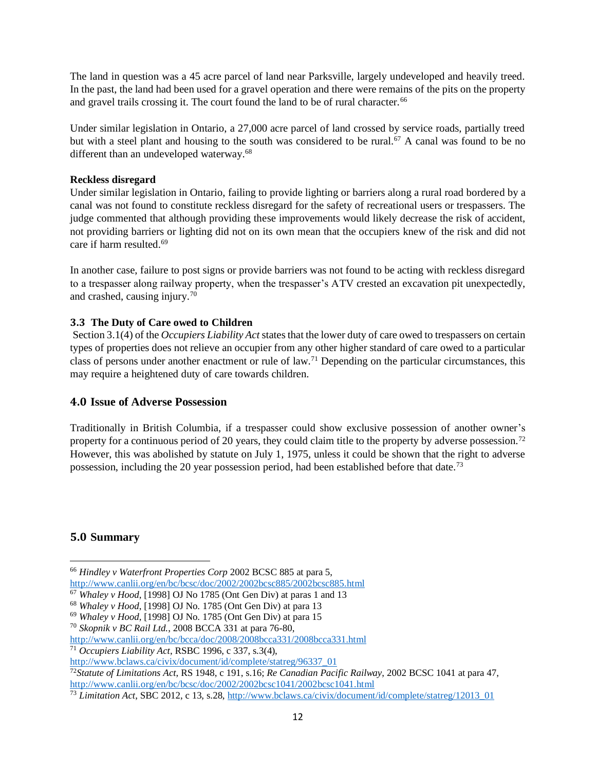The land in question was a 45 acre parcel of land near Parksville, largely undeveloped and heavily treed. In the past, the land had been used for a gravel operation and there were remains of the pits on the property and gravel trails crossing it. The court found the land to be of rural character.<sup>66</sup>

Under similar legislation in Ontario, a 27,000 acre parcel of land crossed by service roads, partially treed but with a steel plant and housing to the south was considered to be rural.<sup>67</sup> A canal was found to be no different than an undeveloped waterway.<sup>68</sup>

#### <span id="page-13-0"></span>**Reckless disregard**

Under similar legislation in Ontario, failing to provide lighting or barriers along a rural road bordered by a canal was not found to constitute reckless disregard for the safety of recreational users or trespassers. The judge commented that although providing these improvements would likely decrease the risk of accident, not providing barriers or lighting did not on its own mean that the occupiers knew of the risk and did not care if harm resulted.<sup>69</sup>

In another case, failure to post signs or provide barriers was not found to be acting with reckless disregard to a trespasser along railway property, when the trespasser's ATV crested an excavation pit unexpectedly, and crashed, causing injury.<sup>70</sup>

## <span id="page-13-1"></span>**3.3 The Duty of Care owed to Children**

Section 3.1(4) of the *Occupiers Liability Act* states that the lower duty of care owed to trespassers on certain types of properties does not relieve an occupier from any other higher standard of care owed to a particular class of persons under another enactment or rule of law.<sup>71</sup> Depending on the particular circumstances, this may require a heightened duty of care towards children.

## <span id="page-13-2"></span>**4.0 Issue of Adverse Possession**

Traditionally in British Columbia, if a trespasser could show exclusive possession of another owner's property for a continuous period of 20 years, they could claim title to the property by adverse possession.<sup>72</sup> However, this was abolished by statute on July 1, 1975, unless it could be shown that the right to adverse possession, including the 20 year possession period, had been established before that date.<sup>73</sup>

## <span id="page-13-3"></span>**5.0 Summary**

<sup>66</sup> *Hindley v Waterfront Properties Corp* 2002 BCSC 885 at para 5,

<http://www.canlii.org/en/bc/bcsc/doc/2002/2002bcsc885/2002bcsc885.html>

<sup>67</sup> *Whaley v Hood*, [1998] OJ No 1785 (Ont Gen Div) at paras 1 and 13

<sup>68</sup> *Whaley v Hood*, [1998] OJ No. 1785 (Ont Gen Div) at para 13

<sup>69</sup> *Whaley v Hood*, [1998] OJ No. 1785 (Ont Gen Div) at para 15

<sup>70</sup> *Skopnik v BC Rail Ltd.*, 2008 BCCA 331 at para 76-80,

<http://www.canlii.org/en/bc/bcca/doc/2008/2008bcca331/2008bcca331.html>

<sup>71</sup> *Occupiers Liability Act*, RSBC 1996, c 337, s.3(4),

[http://www.bclaws.ca/civix/document/id/complete/statreg/96337\\_01](http://www.bclaws.ca/civix/document/id/complete/statreg/96337_01)

<sup>72</sup>*Statute of Limitations Act*, RS 1948, c 191, s.16; *Re Canadian Pacific Railway*, 2002 BCSC 1041 at para 47, <http://www.canlii.org/en/bc/bcsc/doc/2002/2002bcsc1041/2002bcsc1041.html>

<sup>73</sup> *Limitation Act*, SBC 2012, c 13, s.28[, http://www.bclaws.ca/civix/document/id/complete/statreg/12013\\_01](http://www.bclaws.ca/civix/document/id/complete/statreg/12013_01)